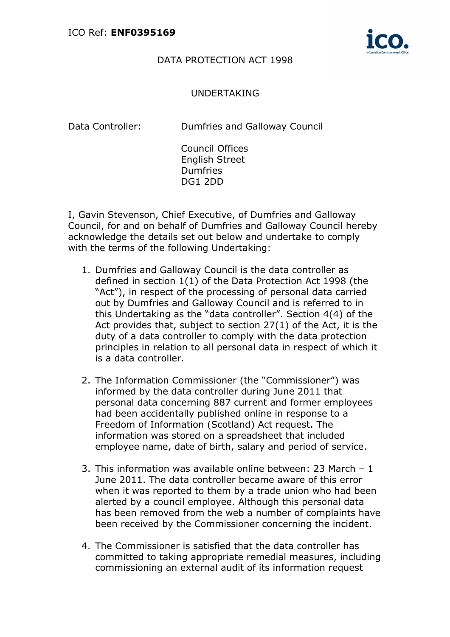

## DATA PROTECTION ACT 1998

## UNDERTAKING

Data Controller: Dumfries and Galloway Council

Council Offices English Street **Dumfries** DG1 2DD

I, Gavin Stevenson, Chief Executive, of Dumfries and Galloway Council, for and on behalf of Dumfries and Galloway Council hereby acknowledge the details set out below and undertake to comply with the terms of the following Undertaking:

- 1. Dumfries and Galloway Council is the data controller as defined in section 1(1) of the Data Protection Act 1998 (the "Act"), in respect of the processing of personal data carried out by Dumfries and Galloway Council and is referred to in this Undertaking as the "data controller". Section 4(4) of the Act provides that, subject to section 27(1) of the Act, it is the duty of a data controller to comply with the data protection principles in relation to all personal data in respect of which it is a data controller.
- 2. The Information Commissioner (the "Commissioner") was informed by the data controller during June 2011 that personal data concerning 887 current and former employees had been accidentally published online in response to a Freedom of Information (Scotland) Act request. The information was stored on a spreadsheet that included employee name, date of birth, salary and period of service.
- 3. This information was available online between: 23 March 1 June 2011. The data controller became aware of this error when it was reported to them by a trade union who had been alerted by a council employee. Although this personal data has been removed from the web a number of complaints have been received by the Commissioner concerning the incident.
- 4. The Commissioner is satisfied that the data controller has committed to taking appropriate remedial measures, including commissioning an external audit of its information request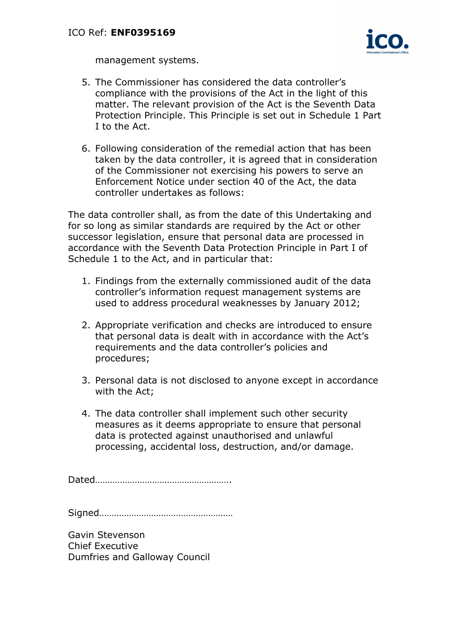

management systems.

- 5. The Commissioner has considered the data controller's compliance with the provisions of the Act in the light of this matter. The relevant provision of the Act is the Seventh Data Protection Principle. This Principle is set out in Schedule 1 Part I to the Act.
- 6. Following consideration of the remedial action that has been taken by the data controller, it is agreed that in consideration of the Commissioner not exercising his powers to serve an Enforcement Notice under section 40 of the Act, the data controller undertakes as follows:

The data controller shall, as from the date of this Undertaking and for so long as similar standards are required by the Act or other successor legislation, ensure that personal data are processed in accordance with the Seventh Data Protection Principle in Part I of Schedule 1 to the Act, and in particular that:

- 1. Findings from the externally commissioned audit of the data controller's information request management systems are used to address procedural weaknesses by January 2012;
- 2. Appropriate verification and checks are introduced to ensure that personal data is dealt with in accordance with the Act's requirements and the data controller's policies and procedures;
- 3. Personal data is not disclosed to anyone except in accordance with the Act;
- 4. The data controller shall implement such other security measures as it deems appropriate to ensure that personal data is protected against unauthorised and unlawful processing, accidental loss, destruction, and/or damage.

Dated……………………………………………….

Signed………………………………………………

Gavin Stevenson Chief Executive Dumfries and Galloway Council